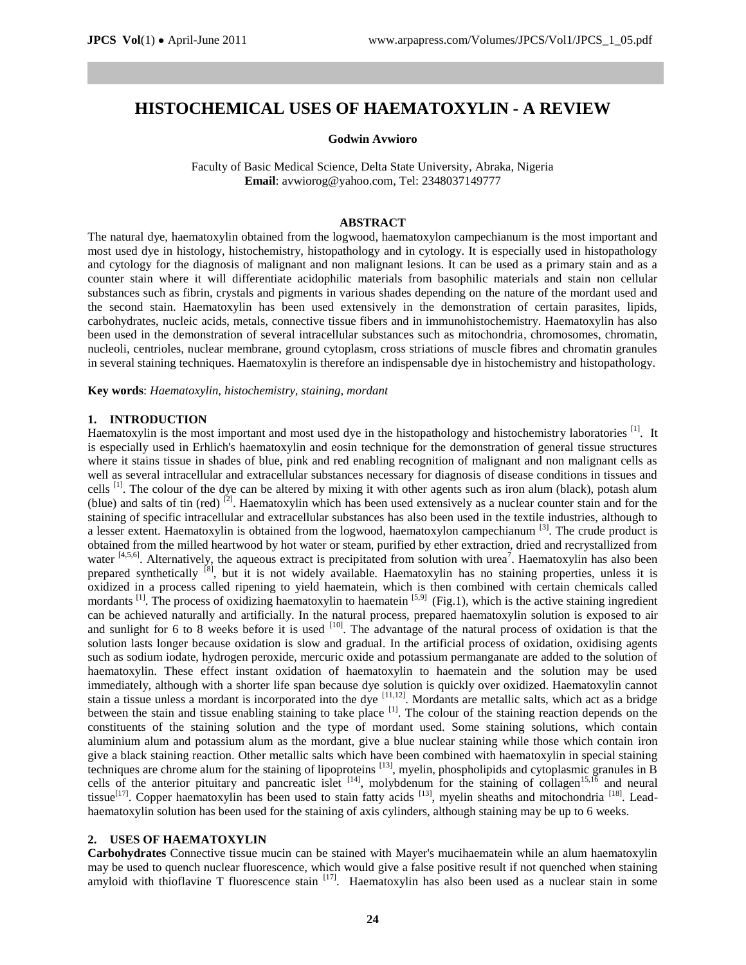# **HISTOCHEMICAL USES OF HAEMATOXYLIN - A REVIEW**

#### **Godwin Avwioro**

Faculty of Basic Medical Science, Delta State University, Abraka, Nigeria **Email**[: avwiorog@yahoo.com,](mailto:avwiorog@yahoo.com) Tel: 2348037149777

#### **ABSTRACT**

The natural dye, haematoxylin obtained from the logwood, haematoxylon campechianum is the most important and most used dye in histology, histochemistry, histopathology and in cytology. It is especially used in histopathology and cytology for the diagnosis of malignant and non malignant lesions. It can be used as a primary stain and as a counter stain where it will differentiate acidophilic materials from basophilic materials and stain non cellular substances such as fibrin, crystals and pigments in various shades depending on the nature of the mordant used and the second stain. Haematoxylin has been used extensively in the demonstration of certain parasites, lipids, carbohydrates, nucleic acids, metals, connective tissue fibers and in immunohistochemistry. Haematoxylin has also been used in the demonstration of several intracellular substances such as mitochondria, chromosomes, chromatin, nucleoli, centrioles, nuclear membrane, ground cytoplasm, cross striations of muscle fibres and chromatin granules in several staining techniques. Haematoxylin is therefore an indispensable dye in histochemistry and histopathology.

**Key words**: *Haematoxylin, histochemistry, staining, mordant*

#### **1. INTRODUCTION**

Haematoxylin is the most important and most used dye in the histopathology and histochemistry laboratories <sup>[1]</sup>. It is especially used in Erhlich's haematoxylin and eosin technique for the demonstration of general tissue structures where it stains tissue in shades of blue, pink and red enabling recognition of malignant and non malignant cells as well as several intracellular and extracellular substances necessary for diagnosis of disease conditions in tissues and cells<sup>[1]</sup>. The colour of the dye can be altered by mixing it with other agents such as iron alum (black), potash alum (blue) and salts of tin (red)  $^{[2]}$ . Haematoxylin which has been used extensively as a nuclear counter stain and for the staining of specific intracellular and extracellular substances has also been used in the textile industries, although to a lesser extent. Haematoxylin is obtained from the logwood, haematoxylon campechianum <sup>[3]</sup>. The crude product is obtained from the milled heartwood by hot water or steam, purified by ether extraction, dried and recrystallized from water  $[4,5,6]$ . Alternatively, the aqueous extract is precipitated from solution with urea<sup>7</sup>. Haematoxylin has also been prepared synthetically <sup>[8]</sup>, but it is not widely available. Haematoxylin has no staining properties, unless it is oxidized in a process called ripening to yield haematein, which is then combined with certain chemicals called mordants  $^{[1]}$ . The process of oxidizing haematoxylin to haematein  $^{[5,9]}$  (Fig.1), which is the active staining ingredient can be achieved naturally and artificially. In the natural process, prepared haematoxylin solution is exposed to air and sunlight for 6 to 8 weeks before it is used  $[10]$ . The advantage of the natural process of oxidation is that the solution lasts longer because oxidation is slow and gradual. In the artificial process of oxidation, oxidising agents such as sodium iodate, hydrogen peroxide, mercuric oxide and potassium permanganate are added to the solution of haematoxylin. These effect instant oxidation of haematoxylin to haematein and the solution may be used immediately, although with a shorter life span because dye solution is quickly over oxidized. Haematoxylin cannot stain a tissue unless a mordant is incorporated into the dye  $[11,12]$ . Mordants are metallic salts, which act as a bridge between the stain and tissue enabling staining to take place <sup>[1]</sup>. The colour of the staining reaction depends on the constituents of the staining solution and the type of mordant used. Some staining solutions, which contain aluminium alum and potassium alum as the mordant, give a blue nuclear staining while those which contain iron give a black staining reaction. Other metallic salts which have been combined with haematoxylin in special staining  $\vec{E}$  techniques are chrome alum for the staining of lipoproteins  $^{[13]}$ , myelin, phospholipids and cytoplasmic granules in  $\vec{B}$ cells of the anterior pituitary and pancreatic islet  $[14]$ , molybdenum for the staining of collagen<sup>15,16</sup> and neural tissue<sup>[17]</sup>. Copper haematoxylin has been used to stain fatty acids <sup>[13]</sup>, myelin sheaths and mitochondria <sup>[18]</sup>. Leadhaematoxylin solution has been used for the staining of axis cylinders, although staining may be up to 6 weeks.

#### **2. USES OF HAEMATOXYLIN**

**Carbohydrates** Connective tissue mucin can be stained with Mayer's mucihaematein while an alum haematoxylin may be used to quench nuclear fluorescence, which would give a false positive result if not quenched when staining amyloid with thioflavine T fluorescence stain [17]. Haematoxylin has also been used as a nuclear stain in some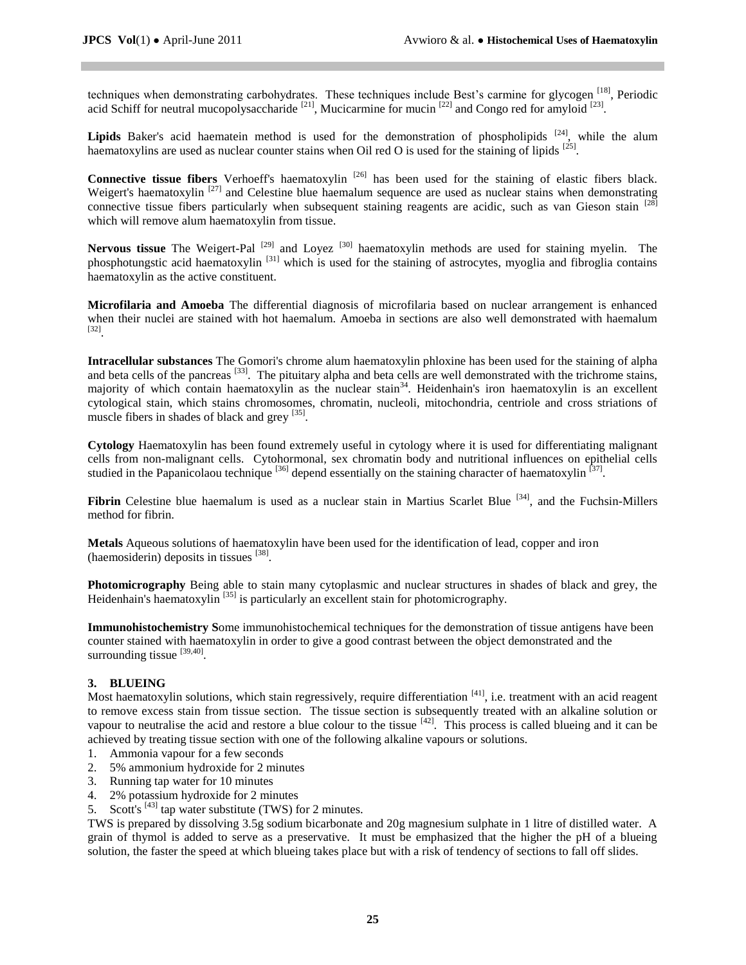techniques when demonstrating carbohydrates. These techniques include Best's carmine for glycogen [18], Periodic acid Schiff for neutral mucopolysaccharide  $^{[21]}$ , Mucicarmine for mucin  $^{[22]}$  and Congo red for amyloid  $^{[23]}$ .

Lipids Baker's acid haematein method is used for the demonstration of phospholipids <sup>[24]</sup>, while the alum haematoxylins are used as nuclear counter stains when Oil red O is used for the staining of lipids  $^{[25]}$ .

Connective tissue fibers Verhoeff's haematoxylin<sup>[26]</sup> has been used for the staining of elastic fibers black. Weigert's haematoxylin<sup>[27]</sup> and Celestine blue haemalum sequence are used as nuclear stains when demonstrating connective tissue fibers particularly when subsequent staining reagents are acidic, such as van Gieson stain [28] which will remove alum haematoxylin from tissue.

Nervous tissue The Weigert-Pal<sup>[29]</sup> and Loyez<sup>[30]</sup> haematoxylin methods are used for staining myelin. The phosphotungstic acid haematoxylin [31] which is used for the staining of astrocytes, myoglia and fibroglia contains haematoxylin as the active constituent.

**Microfilaria and Amoeba** The differential diagnosis of microfilaria based on nuclear arrangement is enhanced when their nuclei are stained with hot haemalum. Amoeba in sections are also well demonstrated with haemalum [32] .

**Intracellular substances** The Gomori's chrome alum haematoxylin phloxine has been used for the staining of alpha and beta cells of the pancreas <sup>[33]</sup>. The pituitary alpha and beta cells are well demonstrated with the trichrome stains, majority of which contain haematoxylin as the nuclear stain<sup>34</sup>. Heidenhain's iron haematoxylin is an excellent cytological stain, which stains chromosomes, chromatin, nucleoli, mitochondria, centriole and cross striations of muscle fibers in shades of black and grey [35].

**Cytology** Haematoxylin has been found extremely useful in cytology where it is used for differentiating malignant cells from non-malignant cells. Cytohormonal, sex chromatin body and nutritional influences on epithelial cells studied in the Papanicolaou technique <sup>[36]</sup> depend essentially on the staining character of haematoxylin<sup>[37]</sup>.

Fibrin Celestine blue haemalum is used as a nuclear stain in Martius Scarlet Blue <sup>[34]</sup>, and the Fuchsin-Millers method for fibrin.

**Metals** Aqueous solutions of haematoxylin have been used for the identification of lead, copper and iron (haemosiderin) deposits in tissues [38].

**Photomicrography** Being able to stain many cytoplasmic and nuclear structures in shades of black and grey, the Heidenhain's haematoxylin<sup>[35]</sup> is particularly an excellent stain for photomicrography.

**Immunohistochemistry S**ome immunohistochemical techniques for the demonstration of tissue antigens have been counter stained with haematoxylin in order to give a good contrast between the object demonstrated and the surrounding tissue  $^{[39,40]}$ .

## **3. BLUEING**

Most haematoxylin solutions, which stain regressively, require differentiation <sup>[41]</sup>, i.e. treatment with an acid reagent to remove excess stain from tissue section. The tissue section is subsequently treated with an alkaline solution or vapour to neutralise the acid and restore a blue colour to the tissue  $[42]$ . This process is called blueing and it can be achieved by treating tissue section with one of the following alkaline vapours or solutions.

- 1. Ammonia vapour for a few seconds
- 2. 5% ammonium hydroxide for 2 minutes
- 3. Running tap water for 10 minutes
- 4. 2% potassium hydroxide for 2 minutes
- 5. Scott's  $^{[43]}$  tap water substitute (TWS) for 2 minutes.

TWS is prepared by dissolving 3.5g sodium bicarbonate and 20g magnesium sulphate in 1 litre of distilled water. A grain of thymol is added to serve as a preservative. It must be emphasized that the higher the pH of a blueing solution, the faster the speed at which blueing takes place but with a risk of tendency of sections to fall off slides.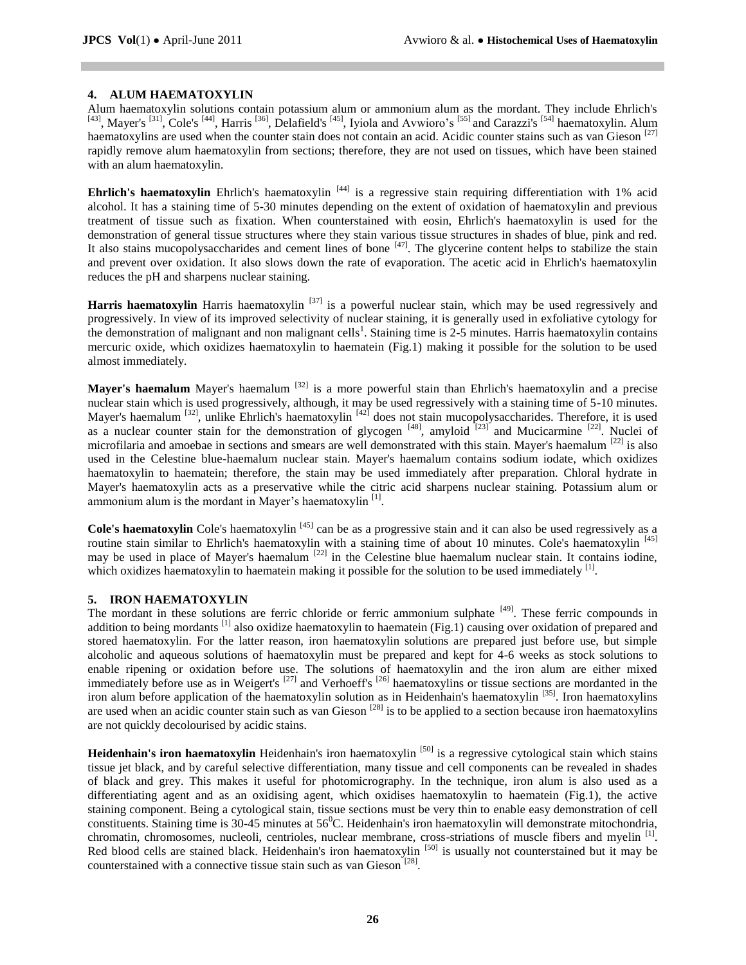### **4. ALUM HAEMATOXYLIN**

Alum haematoxylin solutions contain potassium alum or ammonium alum as the mordant. They include Ehrlich's <sup>[43]</sup>, Mayer's <sup>[31]</sup>, Cole's <sup>[44]</sup>, Harris <sup>[36]</sup>, Delafield's <sup>[45]</sup>, Iyiola and Avwioro's <sup>[55]</sup> and Carazzi's <sup>[54]</sup> haematoxylin. Alum haematoxylins are used when the counter stain does not contain an acid. Acidic counter stains such as van Gieson  $[27]$ rapidly remove alum haematoxylin from sections; therefore, they are not used on tissues, which have been stained with an alum haematoxylin.

**Ehrlich's haematoxylin** Ehrlich's haematoxylin<sup>[44]</sup> is a regressive stain requiring differentiation with 1% acid alcohol. It has a staining time of 5-30 minutes depending on the extent of oxidation of haematoxylin and previous treatment of tissue such as fixation. When counterstained with eosin, Ehrlich's haematoxylin is used for the demonstration of general tissue structures where they stain various tissue structures in shades of blue, pink and red. It also stains mucopolysaccharides and cement lines of bone  $[47]$ . The glycerine content helps to stabilize the stain and prevent over oxidation. It also slows down the rate of evaporation. The acetic acid in Ehrlich's haematoxylin reduces the pH and sharpens nuclear staining.

Harris haematoxylin Harris haematoxylin <sup>[37]</sup> is a powerful nuclear stain, which may be used regressively and progressively. In view of its improved selectivity of nuclear staining, it is generally used in exfoliative cytology for the demonstration of malignant and non malignant cells<sup>1</sup>. Staining time is 2-5 minutes. Harris haematoxylin contains mercuric oxide, which oxidizes haematoxylin to haematein (Fig.1) making it possible for the solution to be used almost immediately.

Mayer's haemalum Mayer's haemalum <sup>[32]</sup> is a more powerful stain than Ehrlich's haematoxylin and a precise nuclear stain which is used progressively, although, it may be used regressively with a staining time of 5-10 minutes. Mayer's haemalum <sup>[32]</sup>, unlike Ehrlich's haematoxylin <sup>[42]</sup> does not stain mucopolysaccharides. Therefore, it is used as a nuclear counter stain for the demonstration of glycogen  $[48]$ , amyloid  $[23]$  and Mucicarmine  $[22]$ . Nuclei of microfilaria and amoebae in sections and smears are well demonstrated with this stain. Mayer's haemalum [22] is also used in the Celestine blue-haemalum nuclear stain. Mayer's haemalum contains sodium iodate, which oxidizes haematoxylin to haematein; therefore, the stain may be used immediately after preparation. Chloral hydrate in Mayer's haematoxylin acts as a preservative while the citric acid sharpens nuclear staining. Potassium alum or ammonium alum is the mordant in Mayer's haematoxylin<sup>[1]</sup>.

Cole's haematoxylin Cole's haematoxylin<sup>[45]</sup> can be as a progressive stain and it can also be used regressively as a routine stain similar to Ehrlich's haematoxylin with a staining time of about 10 minutes. Cole's haematoxylin<sup>[45]</sup> may be used in place of Mayer's haemalum<sup>[22]</sup> in the Celestine blue haemalum nuclear stain. It contains iodine, which oxidizes haematoxylin to haematein making it possible for the solution to be used immediately [1].

#### **5. IRON HAEMATOXYLIN**

The mordant in these solutions are ferric chloride or ferric ammonium sulphate <sup>[49]</sup>. These ferric compounds in addition to being mordants <sup>[1]</sup> also oxidize haematoxylin to haematein (Fig.1) causing over oxidation of prepared and stored haematoxylin. For the latter reason, iron haematoxylin solutions are prepared just before use, but simple alcoholic and aqueous solutions of haematoxylin must be prepared and kept for 4-6 weeks as stock solutions to enable ripening or oxidation before use. The solutions of haematoxylin and the iron alum are either mixed immediately before use as in Weigert's <sup>[27]</sup> and Verhoeff's <sup>[26]</sup> haematoxylins or tissue sections are mordanted in the iron alum before application of the haematoxylin solution as in Heidenhain's haematoxylin<sup>[35]</sup>. Iron haematoxylins are used when an acidic counter stain such as van Gieson  $[28]$  is to be applied to a section because iron haematoxylins are not quickly decolourised by acidic stains.

Heidenhain's iron haematoxylin Heidenhain's iron haematoxylin <sup>[50]</sup> is a regressive cytological stain which stains tissue jet black, and by careful selective differentiation, many tissue and cell components can be revealed in shades of black and grey. This makes it useful for photomicrography. In the technique, iron alum is also used as a differentiating agent and as an oxidising agent, which oxidises haematoxylin to haematein (Fig.1), the active staining component. Being a cytological stain, tissue sections must be very thin to enable easy demonstration of cell constituents. Staining time is  $30-45$  minutes at  $56^{\circ}$ C. Heidenhain's iron haematoxylin will demonstrate mitochondria, chromatin, chromosomes, nucleoli, centrioles, nuclear membrane, cross-striations of muscle fibers and myelin<sup>[1]</sup>. Red blood cells are stained black. Heidenhain's iron haematoxylin <sup>[50]</sup> is usually not counterstained but it may be counterstained with a connective tissue stain such as van Gieson<sup>[28]</sup>.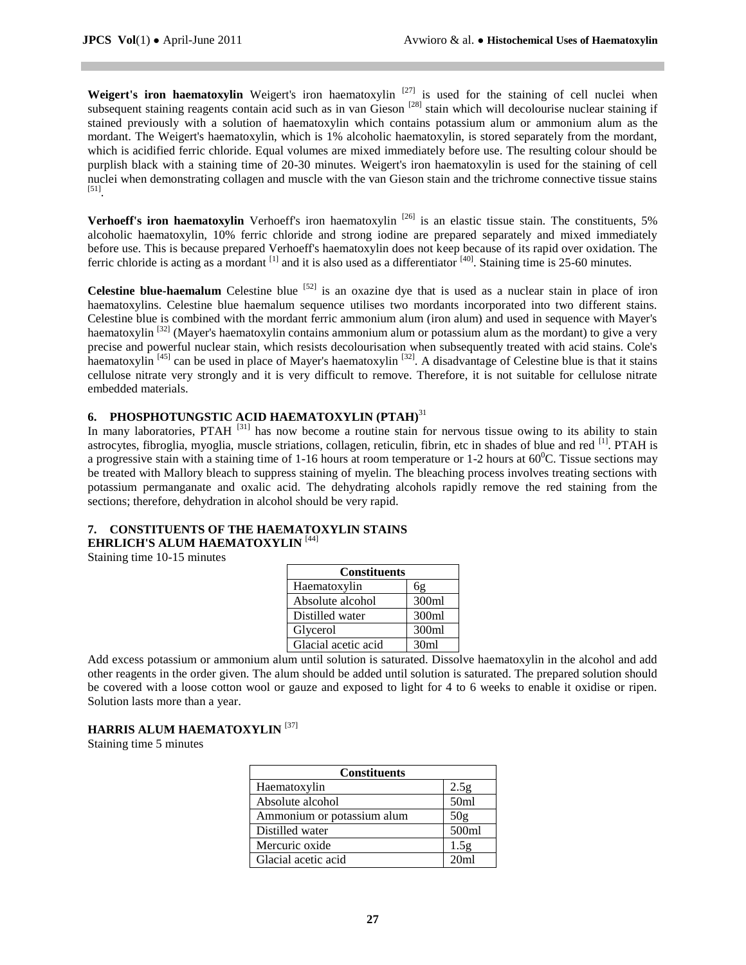Weigert's iron haematoxylin Weigert's iron haematoxylin<sup>[27]</sup> is used for the staining of cell nuclei when subsequent staining reagents contain acid such as in van Gieson<sup>[28]</sup> stain which will decolourise nuclear staining if stained previously with a solution of haematoxylin which contains potassium alum or ammonium alum as the mordant. The Weigert's haematoxylin, which is 1% alcoholic haematoxylin, is stored separately from the mordant, which is acidified ferric chloride. Equal volumes are mixed immediately before use. The resulting colour should be purplish black with a staining time of 20-30 minutes. Weigert's iron haematoxylin is used for the staining of cell nuclei when demonstrating collagen and muscle with the van Gieson stain and the trichrome connective tissue stains [51] .

**Verhoeff's iron haematoxylin** Verhoeff's iron haematoxylin<sup>[26]</sup> is an elastic tissue stain. The constituents, 5% alcoholic haematoxylin, 10% ferric chloride and strong iodine are prepared separately and mixed immediately before use. This is because prepared Verhoeff's haematoxylin does not keep because of its rapid over oxidation. The ferric chloride is acting as a mordant  $^{[1]}$  and it is also used as a differentiator  $^{[40]}$ . Staining time is 25-60 minutes.

**Celestine blue-haemalum** Celestine blue  $[52]$  is an oxazine dye that is used as a nuclear stain in place of iron haematoxylins. Celestine blue haemalum sequence utilises two mordants incorporated into two different stains. Celestine blue is combined with the mordant ferric ammonium alum (iron alum) and used in sequence with Mayer's haematoxylin <sup>[32]</sup> (Mayer's haematoxylin contains ammonium alum or potassium alum as the mordant) to give a very precise and powerful nuclear stain, which resists decolourisation when subsequently treated with acid stains. Cole's haematoxylin<sup>[45]</sup> can be used in place of Mayer's haematoxylin<sup>[32]</sup>. A disadvantage of Celestine blue is that it stains cellulose nitrate very strongly and it is very difficult to remove. Therefore, it is not suitable for cellulose nitrate embedded materials.

## **6. PHOSPHOTUNGSTIC ACID HAEMATOXYLIN (PTAH)**<sup>31</sup>

In many laboratories, PTAH<sup>[31]</sup> has now become a routine stain for nervous tissue owing to its ability to stain astrocytes, fibroglia, myoglia, muscle striations, collagen, reticulin, fibrin, etc in shades of blue and red [1]. PTAH is a progressive stain with a staining time of 1-16 hours at room temperature or 1-2 hours at  $60^{\circ}$ C. Tissue sections may be treated with Mallory bleach to suppress staining of myelin. The bleaching process involves treating sections with potassium permanganate and oxalic acid. The dehydrating alcohols rapidly remove the red staining from the sections; therefore, dehydration in alcohol should be very rapid.

# **7. CONSTITUENTS OF THE HAEMATOXYLIN STAINS**

# **EHRLICH'S ALUM HAEMATOXYLIN** [44]

Staining time 10-15 minutes

| <b>Constituents</b> |       |
|---------------------|-------|
| Haematoxylin        | 6g    |
| Absolute alcohol    | 300ml |
| Distilled water     | 300ml |
| Glycerol            | 300ml |
| Glacial acetic acid | 30ml  |

Add excess potassium or ammonium alum until solution is saturated. Dissolve haematoxylin in the alcohol and add other reagents in the order given. The alum should be added until solution is saturated. The prepared solution should be covered with a loose cotton wool or gauze and exposed to light for 4 to 6 weeks to enable it oxidise or ripen. Solution lasts more than a year.

## **HARRIS ALUM HAEMATOXYLIN** [37]

Staining time 5 minutes

| <b>Constituents</b>        |                  |
|----------------------------|------------------|
| Haematoxylin               | 2.5g             |
| Absolute alcohol           | 50 <sub>ml</sub> |
| Ammonium or potassium alum | 50 <sub>g</sub>  |
| Distilled water            | 500ml            |
| Mercuric oxide             | 1.5g             |
| Glacial acetic acid        | 20 <sub>ml</sub> |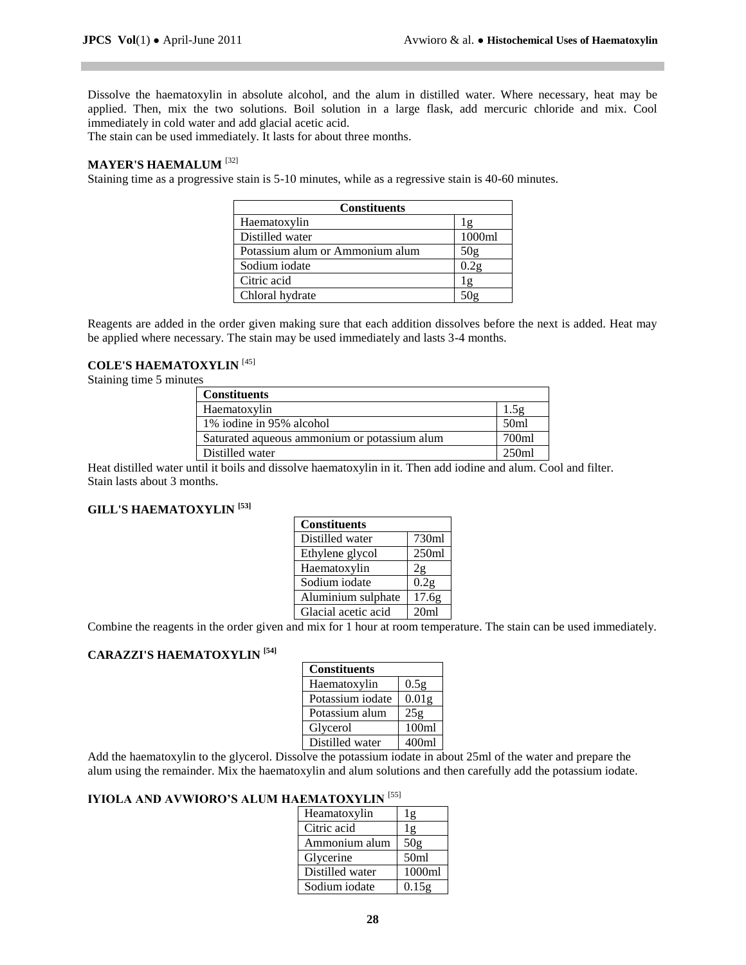Dissolve the haematoxylin in absolute alcohol, and the alum in distilled water. Where necessary, heat may be applied. Then, mix the two solutions. Boil solution in a large flask, add mercuric chloride and mix. Cool immediately in cold water and add glacial acetic acid.

The stain can be used immediately. It lasts for about three months.

# **MAYER'S HAEMALUM** [32]

Staining time as a progressive stain is 5-10 minutes, while as a regressive stain is 40-60 minutes.

| <b>Constituents</b>             |        |
|---------------------------------|--------|
| Haematoxylin                    | Ιg     |
| Distilled water                 | 1000ml |
| Potassium alum or Ammonium alum | 50g    |
| Sodium iodate                   |        |
| Citric acid                     | l g    |
| Chloral hydrate                 |        |

Reagents are added in the order given making sure that each addition dissolves before the next is added. Heat may be applied where necessary. The stain may be used immediately and lasts 3-4 months.

## **COLE'S HAEMATOXYLIN** [45]

Staining time 5 minutes

| <b>Constituents</b>                          |       |
|----------------------------------------------|-------|
| Haematoxylin                                 |       |
| 1% iodine in 95% alcohol                     | 50ml  |
| Saturated aqueous ammonium or potassium alum | 700ml |
| Distilled water                              | 250ml |

Heat distilled water until it boils and dissolve haematoxylin in it. Then add iodine and alum. Cool and filter. Stain lasts about 3 months.

## **GILL'S HAEMATOXYLIN [53]**

| <b>Constituents</b> |                  |
|---------------------|------------------|
| Distilled water     | 730ml            |
| Ethylene glycol     | 250ml            |
| Haematoxylin        | 2g               |
| Sodium iodate       | 0.2 <sub>g</sub> |
| Aluminium sulphate  | 17.6g            |
| Glacial acetic acid | 20ml             |

Combine the reagents in the order given and mix for 1 hour at room temperature. The stain can be used immediately.

### **CARAZZI'S HAEMATOXYLIN [54]**

| <b>Constituents</b> |                   |
|---------------------|-------------------|
| Haematoxylin        | 0.5 <sub>g</sub>  |
| Potassium iodate    | 0.01 <sub>g</sub> |
| Potassium alum      | 25 <sub>g</sub>   |
| Glycerol            | 100 <sub>ml</sub> |
| Distilled water     | 400ml             |

Add the haematoxylin to the glycerol. Dissolve the potassium iodate in about 25ml of the water and prepare the alum using the remainder. Mix the haematoxylin and alum solutions and then carefully add the potassium iodate.

## **IYIOLA AND AVWIORO'S ALUM HAEMATOXYLIN** [55]

| Heamatoxylin    | lg               |
|-----------------|------------------|
| Citric acid     | 1g               |
| Ammonium alum   | 50g              |
| Glycerine       | 50 <sub>ml</sub> |
| Distilled water | 1000ml           |
| Sodium iodate   | 0.15g            |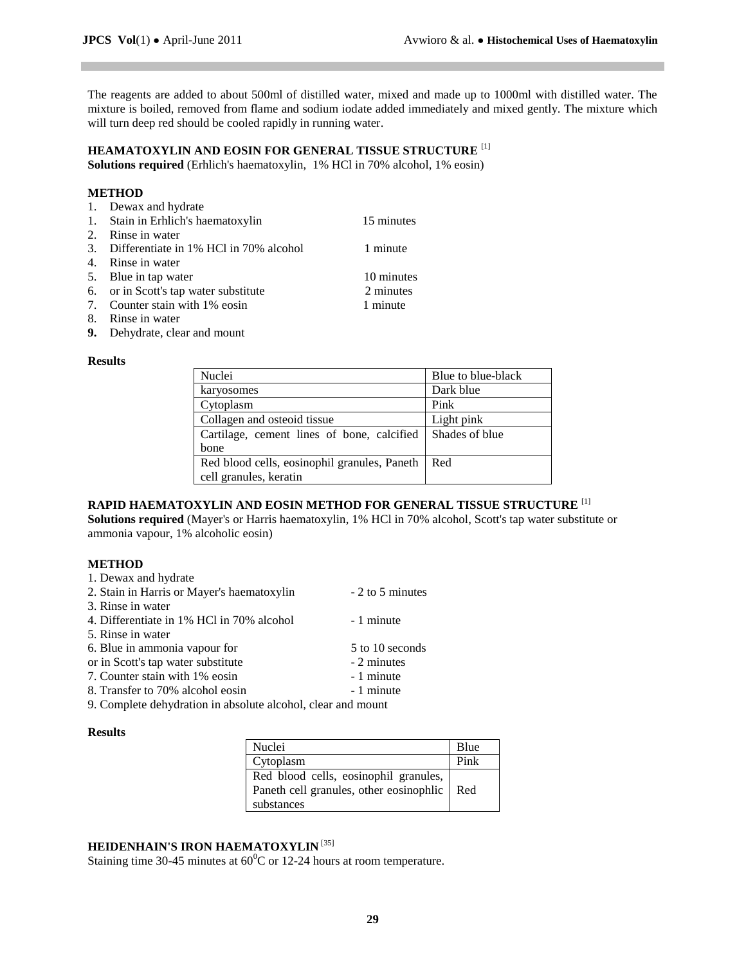The reagents are added to about 500ml of distilled water, mixed and made up to 1000ml with distilled water. The mixture is boiled, removed from flame and sodium iodate added immediately and mixed gently. The mixture which will turn deep red should be cooled rapidly in running water.

# **HEAMATOXYLIN AND EOSIN FOR GENERAL TISSUE STRUCTURE** [1]

**Solutions required** (Erhlich's haematoxylin, 1% HCl in 70% alcohol, 1% eosin)

#### **METHOD**

| 1. Dewax and hydrate                      |            |
|-------------------------------------------|------------|
| 1. Stain in Erhlich's haematoxylin        | 15 minutes |
| 2. Rinse in water                         |            |
| 3. Differentiate in 1% HCl in 70% alcohol | 1 minute   |
| 4. Rinse in water                         |            |
| 5. Blue in tap water                      | 10 minutes |
| 6. or in Scott's tap water substitute     | 2 minutes  |
| 7. Counter stain with 1% eosin            | 1 minute   |
| 8. Rinse in water                         |            |

**9.** Dehydrate, clear and mount

#### **Results**

| Nuclei                                       | Blue to blue-black |
|----------------------------------------------|--------------------|
| karyosomes                                   | Dark blue          |
| Cytoplasm                                    | Pink               |
| Collagen and osteoid tissue                  | Light pink         |
| Cartilage, cement lines of bone, calcified   | Shades of blue     |
| bone                                         |                    |
| Red blood cells, eosinophil granules, Paneth | Red                |
| cell granules, keratin                       |                    |

# **RAPID HAEMATOXYLIN AND EOSIN METHOD FOR GENERAL TISSUE STRUCTURE** [1]

**Solutions required** (Mayer's or Harris haematoxylin, 1% HCl in 70% alcohol, Scott's tap water substitute or ammonia vapour, 1% alcoholic eosin)

#### **METHOD**

| 1. Dewax and hydrate                       |                  |
|--------------------------------------------|------------------|
| 2. Stain in Harris or Mayer's haematoxylin | - 2 to 5 minutes |
| 3. Rinse in water                          |                  |
| 4. Differentiate in 1% HCl in 70% alcohol  | - 1 minute       |
| 5. Rinse in water                          |                  |
| 6. Blue in ammonia vapour for              | 5 to 10 seconds  |
| or in Scott's tap water substitute         | - 2 minutes      |
| 7. Counter stain with 1% eosin             | - 1 minute       |
| 8. Transfer to 70% alcohol eosin           | - 1 minute       |
|                                            |                  |

9. Complete dehydration in absolute alcohol, clear and mount

#### **Results**

| Nuclei                                        | Blue |
|-----------------------------------------------|------|
| Cytoplasm                                     | Pink |
| Red blood cells, eosinophil granules,         |      |
| Paneth cell granules, other eosinophlic   Red |      |
| substances                                    |      |

## **HEIDENHAIN'S IRON HAEMATOXYLIN** [35]

Staining time 30-45 minutes at  $60^{\circ}$ C or 12-24 hours at room temperature.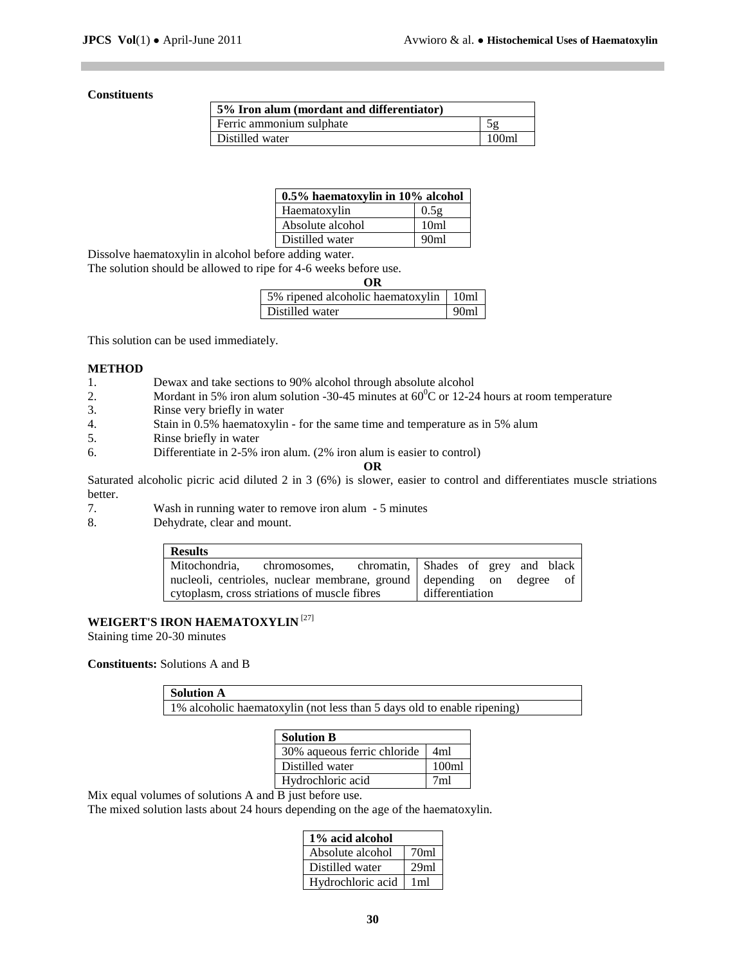### **Constituents**

| 5% Iron alum (mordant and differentiator) |                   |
|-------------------------------------------|-------------------|
| Ferric ammonium sulphate                  |                   |
| Distilled water                           | 100 <sub>ml</sub> |

| 0.5% haematoxylin in 10% alcohol |                  |
|----------------------------------|------------------|
| Haematoxylin                     | 0.5g             |
| Absolute alcohol                 | 10 <sub>ml</sub> |
| Distilled water                  | 90 <sub>ml</sub> |

Dissolve haematoxylin in alcohol before adding water.

The solution should be allowed to ripe for 4-6 weeks before use.

| ΩR                                       |                  |
|------------------------------------------|------------------|
| 5% ripened alcoholic haematoxylin   10ml |                  |
| Distilled water                          | 90 <sub>ml</sub> |

This solution can be used immediately.

#### **METHOD**

- 1. Dewax and take sections to 90% alcohol through absolute alcohol
- 2. Mordant in 5% iron alum solution -30-45 minutes at  $60^{\circ}$ C or 12-24 hours at room temperature
- 3. Rinse very briefly in water
- 4. Stain in 0.5% haematoxylin for the same time and temperature as in 5% alum
- 5. Rinse briefly in water
- 6. Differentiate in 2-5% iron alum. (2% iron alum is easier to control)

#### **OR**

Saturated alcoholic picric acid diluted 2 in 3 (6%) is slower, easier to control and differentiates muscle striations better.

- 7. Wash in running water to remove iron alum 5 minutes
- 8. Dehydrate, clear and mount.

| <b>Results</b>                                                        |                 |
|-----------------------------------------------------------------------|-----------------|
| Mitochondria, chromosomes, chromatin, Shades of grey and black        |                 |
| nucleoli, centrioles, nuclear membrane, ground depending on degree of |                 |
| cytoplasm, cross striations of muscle fibres                          | differentiation |

## **WEIGERT'S IRON HAEMATOXYLIN** [27]

Staining time 20-30 minutes

### **Constituents:** Solutions A and B

**Solution A**

1% alcoholic haematoxylin (not less than 5 days old to enable ripening)

| <b>Solution B</b>           |                 |
|-----------------------------|-----------------|
| 30% aqueous ferric chloride | 4ml             |
| Distilled water             | 100m1           |
| Hydrochloric acid           | 7 <sub>m1</sub> |

Mix equal volumes of solutions A and B just before use.

The mixed solution lasts about 24 hours depending on the age of the haematoxylin.

| 1% acid alcohol   |                  |
|-------------------|------------------|
| Absolute alcohol  | 70 <sub>ml</sub> |
| Distilled water   | 29ml             |
| Hydrochloric acid | 1ml              |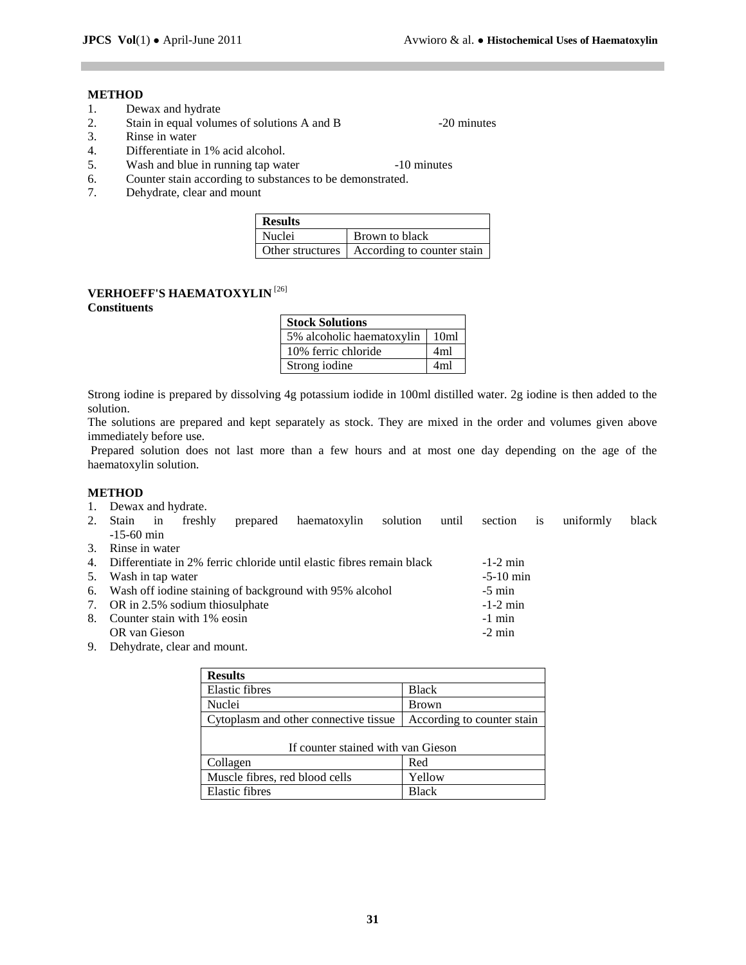## **METHOD**

- 1. Dewax and hydrate
- 2. Stain in equal volumes of solutions A and B -20 minutes
- 3. Rinse in water
- 4. Differentiate in 1% acid alcohol.
- 5. Wash and blue in running tap water -10 minutes

- 
- 6. Counter stain according to substances to be demonstrated.
- 7. Dehydrate, clear and mount

| <b>Results</b> |                                               |
|----------------|-----------------------------------------------|
| Nuclei         | Brown to black                                |
|                | Other structures   According to counter stain |

# **VERHOEFF'S HAEMATOXYLIN** [26]

## **Constituents**

| <b>Stock Solutions</b>    |                  |
|---------------------------|------------------|
| 5% alcoholic haematoxylin | 10 <sub>m1</sub> |
| 10% ferric chloride       | 4ml              |
| Strong iodine             | 4ml              |

Strong iodine is prepared by dissolving 4g potassium iodide in 100ml distilled water. 2g iodine is then added to the solution.

The solutions are prepared and kept separately as stock. They are mixed in the order and volumes given above immediately before use.

Prepared solution does not last more than a few hours and at most one day depending on the age of the haematoxylin solution.

#### **METHOD**

- 1. Dewax and hydrate.
- 2. Stain in freshly prepared haematoxylin solution until section is uniformly black -15-60 min
- 3. Rinse in water

| 4. Differentiate in 2% ferric chloride until elastic fibres remain black | $-1-2$ min  |
|--------------------------------------------------------------------------|-------------|
| 5. Wash in tap water                                                     | $-5-10$ min |
| 6. Wash off iodine staining of background with 95% alcohol               | $-5$ min    |
| 7. OR in 2.5% sodium thiosulphate                                        | $-1-2$ min  |
| 8. Counter stain with 1\% eosin                                          | $-1$ min    |
| OR van Gieson                                                            | $-2$ min    |

9. Dehydrate, clear and mount.

| <b>Results</b>                        |                            |  |
|---------------------------------------|----------------------------|--|
| <b>Elastic fibres</b>                 | <b>Black</b>               |  |
| Nuclei                                | <b>Brown</b>               |  |
| Cytoplasm and other connective tissue | According to counter stain |  |
| If counter stained with van Gieson    |                            |  |
| Collagen<br>Red                       |                            |  |
| Muscle fibres, red blood cells        | Yellow                     |  |
| <b>Elastic fibres</b>                 | <b>Black</b>               |  |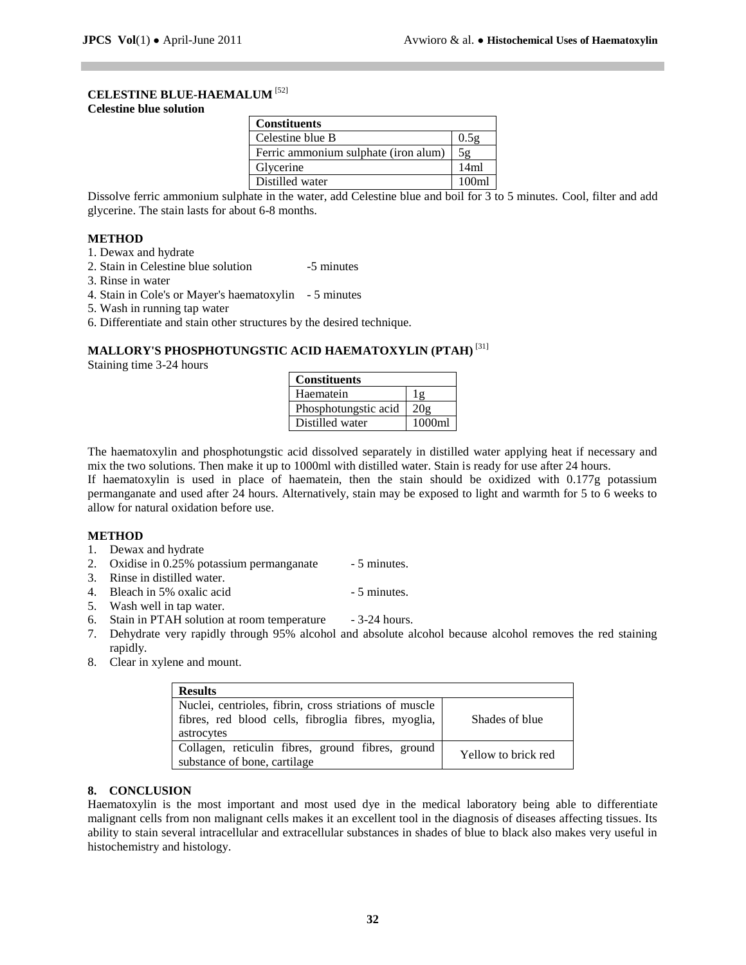### **CELESTINE BLUE-HAEMALUM** [52]

#### **Celestine blue solution**

| <b>Constituents</b>                  |                   |
|--------------------------------------|-------------------|
| Celestine blue B                     | 0.5g              |
| Ferric ammonium sulphate (iron alum) | 5g                |
| Glycerine                            | 14ml              |
| Distilled water                      | 100 <sub>m1</sub> |

Dissolve ferric ammonium sulphate in the water, add Celestine blue and boil for 3 to 5 minutes. Cool, filter and add glycerine. The stain lasts for about 6-8 months.

#### **METHOD**

- 1. Dewax and hydrate
- 2. Stain in Celestine blue solution -5 minutes
- 3. Rinse in water
- 4. Stain in Cole's or Mayer's haematoxylin 5 minutes
- 5. Wash in running tap water
- 6. Differentiate and stain other structures by the desired technique.

## **MALLORY'S PHOSPHOTUNGSTIC ACID HAEMATOXYLIN (PTAH)** [31]

Staining time 3-24 hours

| <b>Constituents</b>  |        |
|----------------------|--------|
| Haematein            |        |
| Phosphotungstic acid | 20g    |
| Distilled water      | 1000ml |

The haematoxylin and phosphotungstic acid dissolved separately in distilled water applying heat if necessary and mix the two solutions. Then make it up to 1000ml with distilled water. Stain is ready for use after 24 hours.

If haematoxylin is used in place of haematein, then the stain should be oxidized with 0.177g potassium permanganate and used after 24 hours. Alternatively, stain may be exposed to light and warmth for 5 to 6 weeks to allow for natural oxidation before use.

#### **METHOD**

- 1. Dewax and hydrate
- 2. Oxidise in  $0.25\%$  potassium permanganate  $-5$  minutes.
- 3. Rinse in distilled water.
- 4. Bleach in 5% oxalic acid 5 minutes.
- 5. Wash well in tap water.
- 6. Stain in PTAH solution at room temperature 3-24 hours.
- 7. Dehydrate very rapidly through 95% alcohol and absolute alcohol because alcohol removes the red staining rapidly.
- 8. Clear in xylene and mount.

| <b>Results</b>                                                                                                |                     |
|---------------------------------------------------------------------------------------------------------------|---------------------|
| Nuclei, centrioles, fibrin, cross striations of muscle<br>fibres, red blood cells, fibroglia fibres, myoglia, | Shades of blue      |
| astrocytes                                                                                                    |                     |
| Collagen, reticulin fibres, ground fibres, ground<br>substance of bone, cartilage                             | Yellow to brick red |
|                                                                                                               |                     |

## **8. CONCLUSION**

Haematoxylin is the most important and most used dye in the medical laboratory being able to differentiate malignant cells from non malignant cells makes it an excellent tool in the diagnosis of diseases affecting tissues. Its ability to stain several intracellular and extracellular substances in shades of blue to black also makes very useful in histochemistry and histology.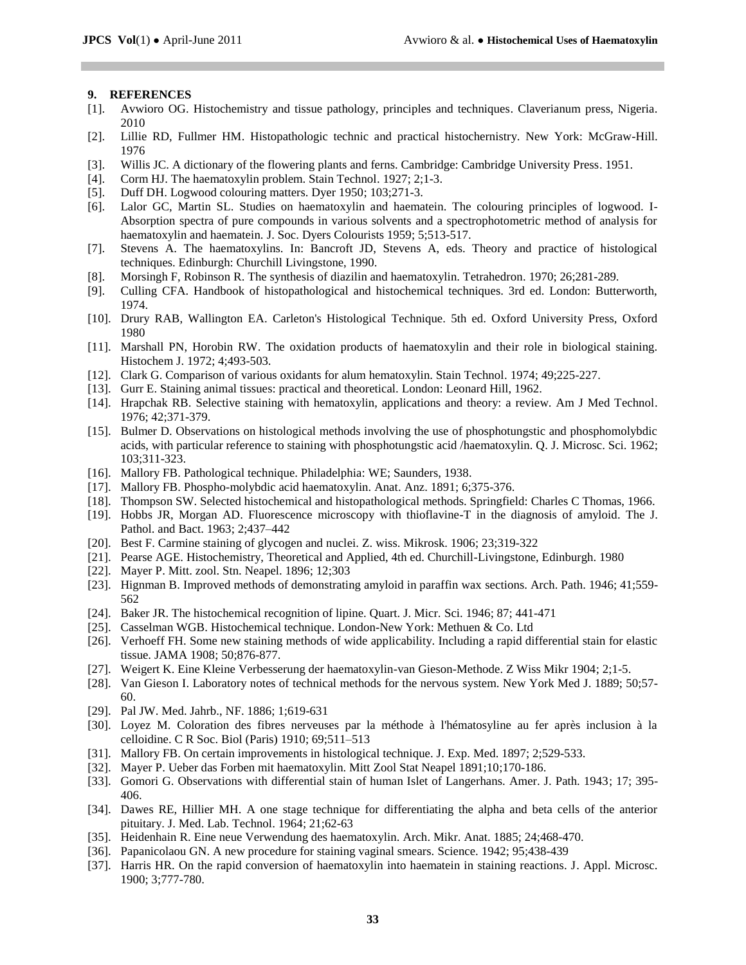#### **9. REFERENCES**

- [1]. Avwioro OG. Histochemistry and tissue pathology, principles and techniques. Claverianum press, Nigeria. 2010
- [2]. Lillie RD, Fullmer HM. Histopathologic technic and practical histochernistry. New York: McGraw-Hill. 1976
- [3]. Willis JC. A dictionary of the flowering plants and ferns. Cambridge: Cambridge University Press. 1951.
- [4]. Corm HJ. The haematoxylin problem. Stain Technol. 1927; 2;1-3.
- [5]. Duff DH. Logwood colouring matters. Dyer 1950; 103;271-3.
- [6]. Lalor GC, Martin SL. Studies on haematoxylin and haematein. The colouring principles of logwood. I-Absorption spectra of pure compounds in various solvents and a spectrophotometric method of analysis for haematoxylin and haematein. J. Soc. Dyers Colourists 1959; 5;513-517.
- [7]. Stevens A. The haematoxylins. In: Bancroft JD, Stevens A, eds. Theory and practice of histological techniques. Edinburgh: Churchill Livingstone, 1990.
- [8]. Morsingh F, Robinson R. The synthesis of diazilin and haematoxylin. Tetrahedron. 1970; 26;281-289.
- [9]. Culling CFA. Handbook of histopathological and histochemical techniques. 3rd ed. London: Butterworth, 1974.
- [10]. Drury RAB, Wallington EA. Carleton's Histological Technique. 5th ed. Oxford University Press, Oxford 1980
- [11]. Marshall PN, Horobin RW. The oxidation products of haematoxylin and their role in biological staining. Histochem J. 1972; 4;493-503.
- [12]. Clark G. Comparison of various oxidants for alum hematoxylin. Stain Technol. 1974; 49;225-227.
- [13]. Gurr E. Staining animal tissues: practical and theoretical. London: Leonard Hill, 1962.
- [14]. Hrapchak RB. Selective staining with hematoxylin, applications and theory: a review. Am J Med Technol. 1976; 42;371-379.
- [15]. Bulmer D. Observations on histological methods involving the use of phosphotungstic and phosphomolybdic acids, with particular reference to staining with phosphotungstic acid /haematoxylin. Q. J. Microsc. Sci. 1962; 103;311-323.
- [16]. Mallory FB. Pathological technique. Philadelphia: WE; Saunders, 1938.
- [17]. Mallory FB. Phospho-molybdic acid haematoxylin. Anat. Anz. 1891; 6;375-376.
- [18]. Thompson SW. Selected histochemical and histopathological methods. Springfield: Charles C Thomas, 1966.
- [19]. Hobbs JR, Morgan AD. Fluorescence microscopy with thioflavine-T in the diagnosis of amyloid. The J. Pathol. and Bact. 1963; 2;437–442
- [20]. Best F. Carmine staining of glycogen and nuclei. Z. wiss. Mikrosk. 1906; 23;319-322
- [21]. Pearse AGE. Histochemistry, Theoretical and Applied, 4th ed. Churchill-Livingstone, Edinburgh. 1980
- [22]. Mayer P. Mitt. zool. Stn. Neapel. 1896; 12;303
- [23]. Hignman B. Improved methods of demonstrating amyloid in paraffin wax sections. Arch. Path. 1946; 41;559- 562
- [24]. Baker JR. The histochemical recognition of lipine. Quart. J. Micr. Sci. 1946; 87; 441-471
- [25]. Casselman WGB. Histochemical technique. London-New York: Methuen & Co. Ltd
- [26]. Verhoeff FH. Some new staining methods of wide applicability. Including a rapid differential stain for elastic tissue. JAMA 1908; 50;876-877.
- [27]. Weigert K. Eine Kleine Verbesserung der haematoxylin-van Gieson-Methode. Z Wiss Mikr 1904; 2;1-5.
- [28]. Van Gieson I. Laboratory notes of technical methods for the nervous system. New York Med J. 1889; 50;57- 60.
- [29]. Pal JW. Med. Jahrb., NF. 1886; 1;619-631
- [30]. Loyez M. Coloration des fibres nerveuses par la méthode à l'hématosyline au fer après inclusion à la celloidine. C R Soc. Biol (Paris) 1910; 69;511–513
- [31]. Mallory FB. On certain improvements in histological technique. J. Exp. Med. 1897; 2;529-533.
- [32]. Mayer P. Ueber das Forben mit haematoxylin. Mitt Zool Stat Neapel 1891;10;170-186.
- [33]. Gomori G. Observations with differential stain of human Islet of Langerhans. Amer. J. Path. 1943; 17; 395- 406.
- [34]. Dawes RE, Hillier MH. A one stage technique for differentiating the alpha and beta cells of the anterior pituitary. J. Med. Lab. Technol. 1964; 21;62-63
- [35]. Heidenhain R. Eine neue Verwendung des haematoxylin. Arch. Mikr. Anat. 1885; 24;468-470.
- [36]. Papanicolaou GN. A new procedure for staining vaginal smears. Science. 1942; 95;438-439
- [37]. Harris HR. On the rapid conversion of haematoxylin into haematein in staining reactions. J. Appl. Microsc. 1900; 3;777-780.